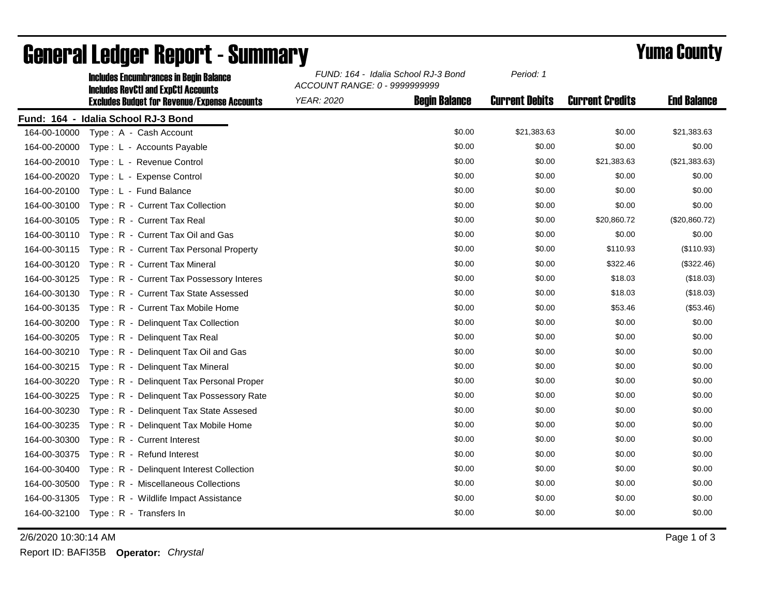|              | <b>Includes Encumbrances in Begin Balance</b><br><b>Includes RevCtI and ExpCtI Accounts</b> | FUND: 164 - Idalia School RJ-3 Bond<br>ACCOUNT RANGE: 0 - 9999999999 |                      | Period: 1             |                        |                    |
|--------------|---------------------------------------------------------------------------------------------|----------------------------------------------------------------------|----------------------|-----------------------|------------------------|--------------------|
|              | <b>Excludes Budget for Revenue/Expense Accounts</b>                                         | YEAR: 2020                                                           | <b>Begin Balance</b> | <b>Current Debits</b> | <b>Current Credits</b> | <b>End Balance</b> |
|              | Fund: 164 - Idalia School RJ-3 Bond                                                         |                                                                      |                      |                       |                        |                    |
| 164-00-10000 | Type: A - Cash Account                                                                      |                                                                      | \$0.00               | \$21,383.63           | \$0.00                 | \$21,383.63        |
| 164-00-20000 | Type: L - Accounts Payable                                                                  |                                                                      | \$0.00               | \$0.00                | \$0.00                 | \$0.00             |
| 164-00-20010 | Type: L - Revenue Control                                                                   |                                                                      | \$0.00               | \$0.00                | \$21,383.63            | (\$21,383.63)      |
| 164-00-20020 | Type: L - Expense Control                                                                   |                                                                      | \$0.00               | \$0.00                | \$0.00                 | \$0.00             |
| 164-00-20100 | Type: L - Fund Balance                                                                      |                                                                      | \$0.00               | \$0.00                | \$0.00                 | \$0.00             |
| 164-00-30100 | Type: R - Current Tax Collection                                                            |                                                                      | \$0.00               | \$0.00                | \$0.00                 | \$0.00             |
| 164-00-30105 | Type: R - Current Tax Real                                                                  |                                                                      | \$0.00               | \$0.00                | \$20,860.72            | (\$20,860.72)      |
| 164-00-30110 | Type: R - Current Tax Oil and Gas                                                           |                                                                      | \$0.00               | \$0.00                | \$0.00                 | \$0.00             |
| 164-00-30115 | Type: R - Current Tax Personal Property                                                     |                                                                      | \$0.00               | \$0.00                | \$110.93               | (\$110.93)         |
| 164-00-30120 | Type: R - Current Tax Mineral                                                               |                                                                      | \$0.00               | \$0.00                | \$322.46               | (\$322.46)         |
| 164-00-30125 | Type: R - Current Tax Possessory Interes                                                    |                                                                      | \$0.00               | \$0.00                | \$18.03                | (\$18.03)          |
| 164-00-30130 | Type: R - Current Tax State Assessed                                                        |                                                                      | \$0.00               | \$0.00                | \$18.03                | (\$18.03)          |
| 164-00-30135 | Type: R - Current Tax Mobile Home                                                           |                                                                      | \$0.00               | \$0.00                | \$53.46                | (\$53.46)          |
| 164-00-30200 | Type: R - Delinquent Tax Collection                                                         |                                                                      | \$0.00               | \$0.00                | \$0.00                 | \$0.00             |
| 164-00-30205 | Type: R - Delinquent Tax Real                                                               |                                                                      | \$0.00               | \$0.00                | \$0.00                 | \$0.00             |
| 164-00-30210 | Type: R - Delinquent Tax Oil and Gas                                                        |                                                                      | \$0.00               | \$0.00                | \$0.00                 | \$0.00             |
| 164-00-30215 | Type: R - Delinquent Tax Mineral                                                            |                                                                      | \$0.00               | \$0.00                | \$0.00                 | \$0.00             |
| 164-00-30220 | Type: R - Delinquent Tax Personal Proper                                                    |                                                                      | \$0.00               | \$0.00                | \$0.00                 | \$0.00             |
| 164-00-30225 | Type: R - Delinquent Tax Possessory Rate                                                    |                                                                      | \$0.00               | \$0.00                | \$0.00                 | \$0.00             |
| 164-00-30230 | Type: R - Delinquent Tax State Assesed                                                      |                                                                      | \$0.00               | \$0.00                | \$0.00                 | \$0.00             |
| 164-00-30235 | Type: R - Delinguent Tax Mobile Home                                                        |                                                                      | \$0.00               | \$0.00                | \$0.00                 | \$0.00             |
| 164-00-30300 | Type: R - Current Interest                                                                  |                                                                      | \$0.00               | \$0.00                | \$0.00                 | \$0.00             |
| 164-00-30375 | Type: R - Refund Interest                                                                   |                                                                      | \$0.00               | \$0.00                | \$0.00                 | \$0.00             |
| 164-00-30400 | Type: R - Delinquent Interest Collection                                                    |                                                                      | \$0.00               | \$0.00                | \$0.00                 | \$0.00             |
| 164-00-30500 | Type: R - Miscellaneous Collections                                                         |                                                                      | \$0.00               | \$0.00                | \$0.00                 | \$0.00             |
| 164-00-31305 | Type: R - Wildlife Impact Assistance                                                        |                                                                      | \$0.00               | \$0.00                | \$0.00                 | \$0.00             |
|              | 164-00-32100 Type: R - Transfers In                                                         |                                                                      | \$0.00               | \$0.00                | \$0.00                 | \$0.00             |

## General Ledger Report - Summary **Example 2018** Yuma County

2/6/2020 10:30:14 AM Page 1 of 3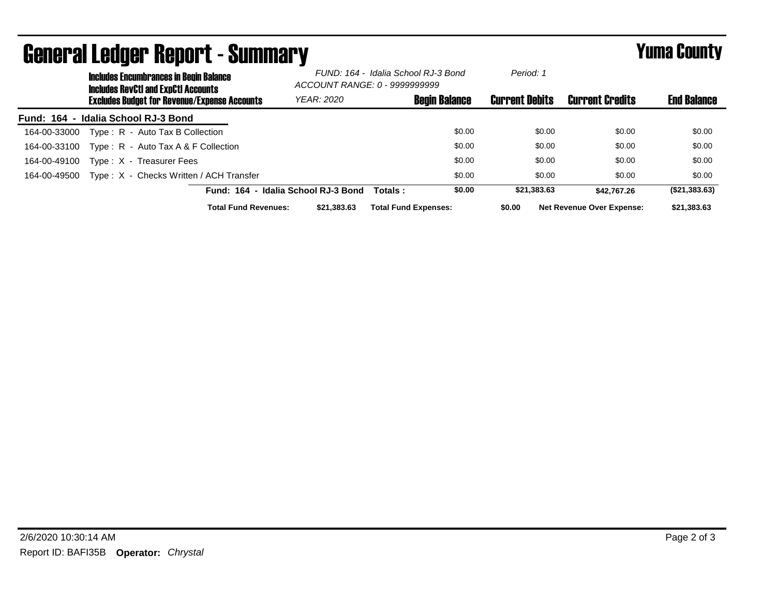| <b>General Ledger Report - Summary</b> |                                                                                             |                                                     |                                                                      |                             | <b>Yuma County</b> |                       |                                  |                    |
|----------------------------------------|---------------------------------------------------------------------------------------------|-----------------------------------------------------|----------------------------------------------------------------------|-----------------------------|--------------------|-----------------------|----------------------------------|--------------------|
|                                        | <b>Includes Encumbrances in Begin Balance</b><br><b>Includes RevCtI and ExpCtI Accounts</b> |                                                     | FUND: 164 - Idalia School RJ-3 Bond<br>ACCOUNT RANGE: 0 - 9999999999 |                             |                    | Period: 1             |                                  |                    |
|                                        |                                                                                             | <b>Excludes Budget for Revenue/Expense Accounts</b> | <b>YEAR: 2020</b>                                                    | <b>Begin Balance</b>        |                    | <b>Current Debits</b> | <b>Current Credits</b>           | <b>End Balance</b> |
|                                        | Fund: 164 - Idalia School RJ-3 Bond                                                         |                                                     |                                                                      |                             |                    |                       |                                  |                    |
| 164-00-33000                           | Type: R - Auto Tax B Collection                                                             |                                                     |                                                                      |                             | \$0.00             | \$0.00                | \$0.00                           | \$0.00             |
| 164-00-33100                           |                                                                                             | Type: $R -$ Auto Tax A & F Collection               |                                                                      |                             | \$0.00             | \$0.00                | \$0.00                           | \$0.00             |
| 164-00-49100                           | Type: X - Treasurer Fees                                                                    |                                                     |                                                                      |                             | \$0.00             | \$0.00                | \$0.00                           | \$0.00             |
| 164-00-49500                           |                                                                                             | Type: X - Checks Written / ACH Transfer             |                                                                      |                             | \$0.00             | \$0.00                | \$0.00                           | \$0.00             |
|                                        |                                                                                             |                                                     | Fund: 164 - Idalia School RJ-3 Bond                                  | Totals:                     | \$0.00             | \$21,383.63           | \$42.767.26                      | (\$21,383.63)      |
|                                        |                                                                                             | <b>Total Fund Revenues:</b>                         | \$21,383.63                                                          | <b>Total Fund Expenses:</b> |                    | \$0.00                | <b>Net Revenue Over Expense:</b> | \$21,383.63        |